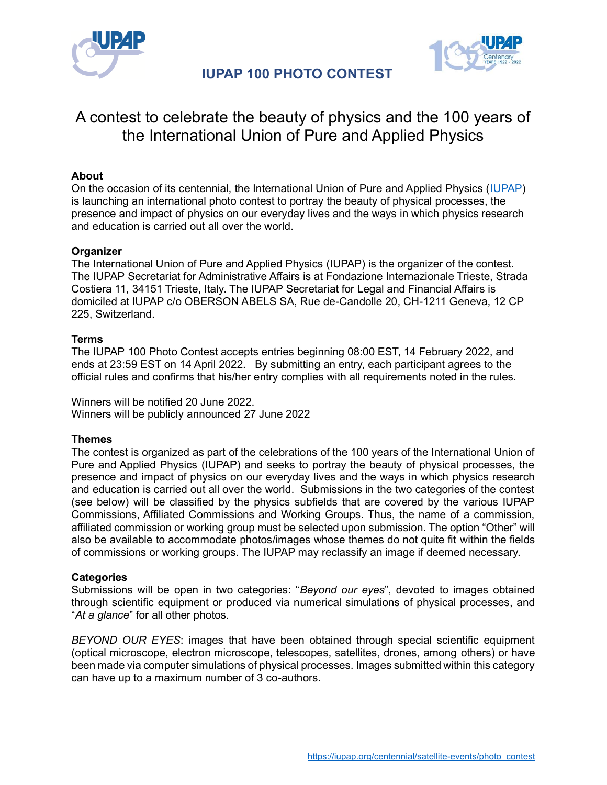



# A contest to celebrate the beauty of physics and the 100 years of the International Union of Pure and Applied Physics

# **About**

On the occasion of its centennial, the International Union of Pure and Applied Physics [\(IUPAP\)](https://iupap.org/) is launching an international photo contest to portray the beauty of physical processes, the presence and impact of physics on our everyday lives and the ways in which physics research and education is carried out all over the world.

## **Organizer**

The International Union of Pure and Applied Physics (IUPAP) is the organizer of the contest. The IUPAP Secretariat for Administrative Affairs is at Fondazione Internazionale Trieste, Strada Costiera 11, 34151 Trieste, Italy. The IUPAP Secretariat for Legal and Financial Affairs is domiciled at IUPAP c/o OBERSON ABELS SA, Rue de-Candolle 20, CH-1211 Geneva, 12 CP 225, Switzerland.

### **Terms**

The IUPAP 100 Photo Contest accepts entries beginning 08:00 EST, 14 February 2022, and ends at 23:59 EST on 14 April 2022. By submitting an entry, each participant agrees to the official rules and confirms that his/her entry complies with all requirements noted in the rules.

Winners will be notified 20 June 2022. Winners will be publicly announced 27 June 2022

## **Themes**

The contest is organized as part of the celebrations of the 100 years of the International Union of Pure and Applied Physics (IUPAP) and seeks to portray the beauty of physical processes, the presence and impact of physics on our everyday lives and the ways in which physics research and education is carried out all over the world. Submissions in the two categories of the contest (see below) will be classified by the physics subfields that are covered by the various IUPAP Commissions, Affiliated Commissions and Working Groups. Thus, the name of a commission, affiliated commission or working group must be selected upon submission. The option "Other" will also be available to accommodate photos/images whose themes do not quite fit within the fields of commissions or working groups. The IUPAP may reclassify an image if deemed necessary.

### **Categories**

Submissions will be open in two categories: "*Beyond our eyes*", devoted to images obtained through scientific equipment or produced via numerical simulations of physical processes, and "*At a glance*" for all other photos.

*BEYOND OUR EYES*: images that have been obtained through special scientific equipment (optical microscope, electron microscope, telescopes, satellites, drones, among others) or have been made via computer simulations of physical processes. Images submitted within this category can have up to a maximum number of 3 co-authors.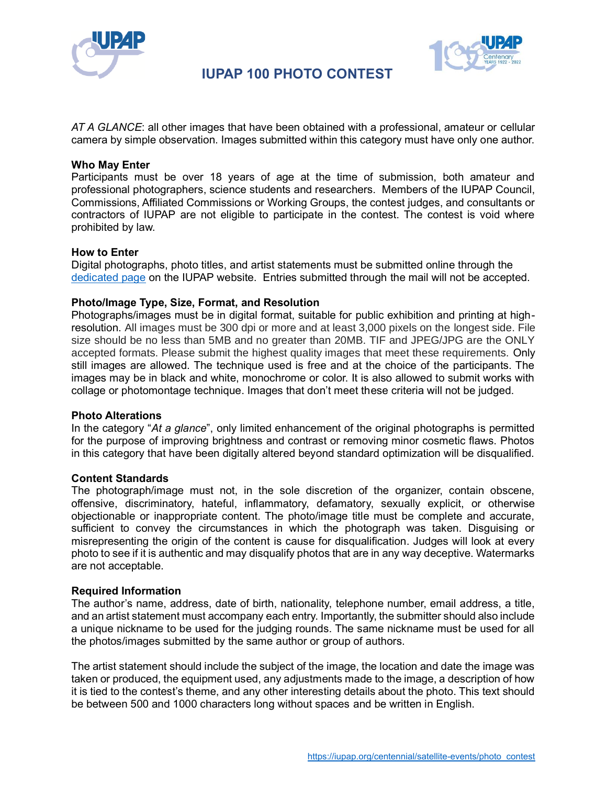



*AT A GLANCE*: all other images that have been obtained with a professional, amateur or cellular camera by simple observation. Images submitted within this category must have only one author.

### **Who May Enter**

Participants must be over 18 years of age at the time of submission, both amateur and professional photographers, science students and researchers. Members of the IUPAP Council, Commissions, Affiliated Commissions or Working Groups, the contest judges, and consultants or contractors of IUPAP are not eligible to participate in the contest. The contest is void where prohibited by law.

### **How to Enter**

Digital photographs, photo titles, and artist statements must be submitted online through the [dedicated page](https://iupap.org/centennial/satellite-events/iupap-100-photo-contest/) on the IUPAP website. Entries submitted through the mail will not be accepted.

### **Photo/Image Type, Size, Format, and Resolution**

Photographs/images must be in digital format, suitable for public exhibition and printing at highresolution. All images must be 300 dpi or more and at least 3,000 pixels on the longest side. File size should be no less than 5MB and no greater than 20MB. TIF and JPEG/JPG are the ONLY accepted formats. Please submit the highest quality images that meet these requirements. Only still images are allowed. The technique used is free and at the choice of the participants. The images may be in black and white, monochrome or color. It is also allowed to submit works with collage or photomontage technique. Images that don't meet these criteria will not be judged.

### **Photo Alterations**

In the category "*At a glance*", only limited enhancement of the original photographs is permitted for the purpose of improving brightness and contrast or removing minor cosmetic flaws. Photos in this category that have been digitally altered beyond standard optimization will be disqualified.

### **Content Standards**

The photograph/image must not, in the sole discretion of the organizer, contain obscene, offensive, discriminatory, hateful, inflammatory, defamatory, sexually explicit, or otherwise objectionable or inappropriate content. The photo/image title must be complete and accurate, sufficient to convey the circumstances in which the photograph was taken. Disguising or misrepresenting the origin of the content is cause for disqualification. Judges will look at every photo to see if it is authentic and may disqualify photos that are in any way deceptive. Watermarks are not acceptable.

### **Required Information**

The author's name, address, date of birth, nationality, telephone number, email address, a title, and an artist statement must accompany each entry. Importantly, the submitter should also include a unique nickname to be used for the judging rounds. The same nickname must be used for all the photos/images submitted by the same author or group of authors.

The artist statement should include the subject of the image, the location and date the image was taken or produced, the equipment used, any adjustments made to the image, a description of how it is tied to the contest's theme, and any other interesting details about the photo. This text should be between 500 and 1000 characters long without spaces and be written in English.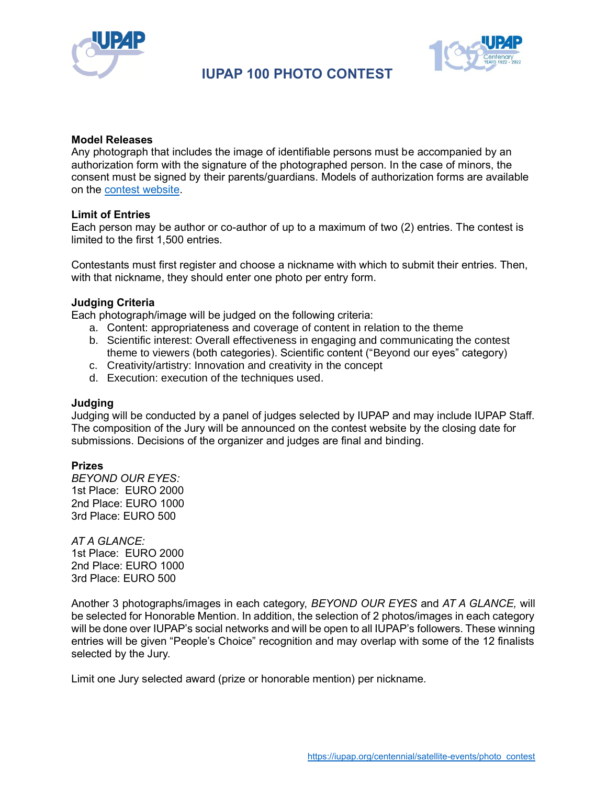



### **Model Releases**

Any photograph that includes the image of identifiable persons must be accompanied by an authorization form with the signature of the photographed person. In the case of minors, the consent must be signed by their parents/guardians. Models of authorization forms are available on the [contest website.](https://iupap.org/centennial/satellite-events/iupap-100-photo-contest/)

### **Limit of Entries**

Each person may be author or co-author of up to a maximum of two (2) entries. The contest is limited to the first 1,500 entries.

Contestants must first register and choose a nickname with which to submit their entries. Then, with that nickname, they should enter one photo per entry form.

### **Judging Criteria**

Each photograph/image will be judged on the following criteria:

- a. Content: appropriateness and coverage of content in relation to the theme
- b. Scientific interest: Overall effectiveness in engaging and communicating the contest theme to viewers (both categories). Scientific content ("Beyond our eyes" category)
- c. Creativity/artistry: Innovation and creativity in the concept
- d. Execution: execution of the techniques used.

### **Judging**

Judging will be conducted by a panel of judges selected by IUPAP and may include IUPAP Staff. The composition of the Jury will be announced on the contest website by the closing date for submissions. Decisions of the organizer and judges are final and binding.

### **Prizes**

*BEYOND OUR EYES:* 1st Place: EURO 2000 2nd Place: EURO 1000 3rd Place: EURO 500

*AT A GLANCE:*  1st Place: EURO 2000 2nd Place: EURO 1000 3rd Place: EURO 500

Another 3 photographs/images in each category, *BEYOND OUR EYES* and *AT A GLANCE,* will be selected for Honorable Mention. In addition, the selection of 2 photos/images in each category will be done over IUPAP's social networks and will be open to all IUPAP's followers. These winning entries will be given "People's Choice" recognition and may overlap with some of the 12 finalists selected by the Jury.

Limit one Jury selected award (prize or honorable mention) per nickname.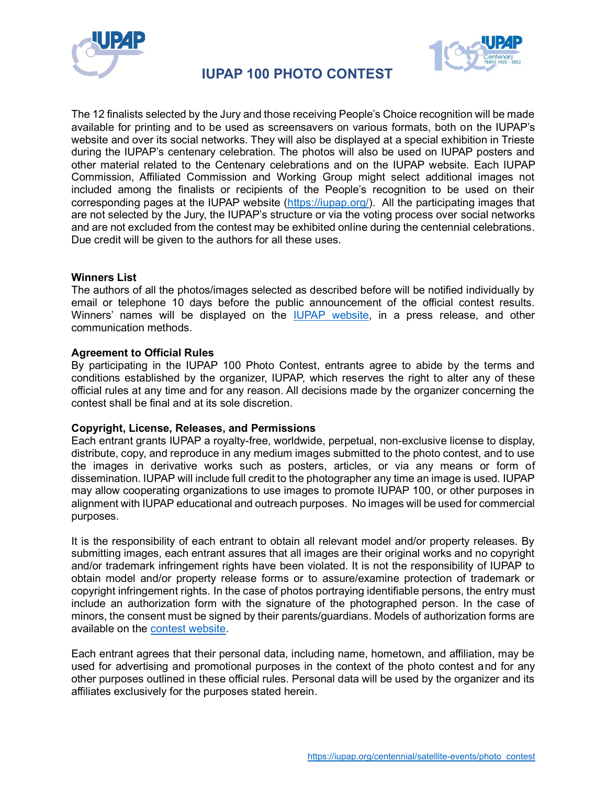



The 12 finalists selected by the Jury and those receiving People's Choice recognition will be made available for printing and to be used as screensavers on various formats, both on the IUPAP's website and over its social networks. They will also be displayed at a special exhibition in Trieste during the IUPAP's centenary celebration. The photos will also be used on IUPAP posters and other material related to the Centenary celebrations and on the IUPAP website. Each IUPAP Commission, Affiliated Commission and Working Group might select additional images not included among the finalists or recipients of the People's recognition to be used on their corresponding pages at the IUPAP website [\(https://iupap.org/\)](https://iupap.org/). All the participating images that are not selected by the Jury, the IUPAP's structure or via the voting process over social networks and are not excluded from the contest may be exhibited online during the centennial celebrations. Due credit will be given to the authors for all these uses.

### **Winners List**

The authors of all the photos/images selected as described before will be notified individually by email or telephone 10 days before the public announcement of the official contest results. Winners' names will be displayed on the [IUPAP website,](https://iupap.org/) in a press release, and other communication methods.

### **Agreement to Official Rules**

By participating in the IUPAP 100 Photo Contest, entrants agree to abide by the terms and conditions established by the organizer, IUPAP, which reserves the right to alter any of these official rules at any time and for any reason. All decisions made by the organizer concerning the contest shall be final and at its sole discretion.

### **Copyright, License, Releases, and Permissions**

Each entrant grants IUPAP a royalty-free, worldwide, perpetual, non-exclusive license to display, distribute, copy, and reproduce in any medium images submitted to the photo contest, and to use the images in derivative works such as posters, articles, or via any means or form of dissemination. IUPAP will include full credit to the photographer any time an image is used. IUPAP may allow cooperating organizations to use images to promote IUPAP 100, or other purposes in alignment with IUPAP educational and outreach purposes. No images will be used for commercial purposes.

It is the responsibility of each entrant to obtain all relevant model and/or property releases. By submitting images, each entrant assures that all images are their original works and no copyright and/or trademark infringement rights have been violated. It is not the responsibility of IUPAP to obtain model and/or property release forms or to assure/examine protection of trademark or copyright infringement rights. In the case of photos portraying identifiable persons, the entry must include an authorization form with the signature of the photographed person. In the case of minors, the consent must be signed by their parents/guardians. Models of authorization forms are available on the [contest website.](https://iupap.org/centennial/satellite-events/iupap-100-photo-contest/)

Each entrant agrees that their personal data, including name, hometown, and affiliation, may be used for advertising and promotional purposes in the context of the photo contest and for any other purposes outlined in these official rules. Personal data will be used by the organizer and its affiliates exclusively for the purposes stated herein.